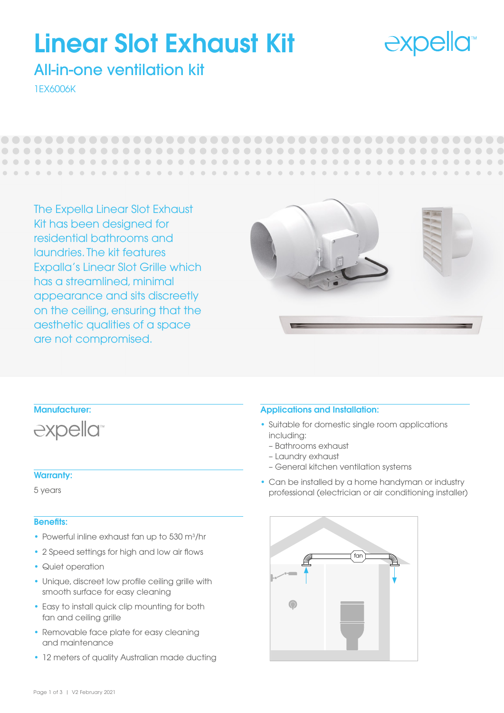## **expella**<sup>®</sup>

 $\blacksquare$ 

# Linear Slot Exhaust Kit

## All-in-one ventilation kit

1EX6006K

 $\begin{array}{c} \hline \end{array}$ 

The Expella Linear Slot Exhaust Kit has been designed for residential bathrooms and laundries. The kit features Expalla's Linear Slot Grille which has a streamlined, minimal appearance and sits discreetly on the ceiling, ensuring that the aesthetic qualities of a space are not compromised.





#### Warranty:

5 years

#### Benefits:

- Powerful inline exhaust fan up to 530 m<sup>3</sup>/hr
- 2 Speed settings for high and low air flows
- Quiet operation
- Unique, discreet low profile ceiling grille with smooth surface for easy cleaning
- Easy to install quick clip mounting for both fan and ceiling grille
- Removable face plate for easy cleaning and maintenance
- 12 meters of quality Australian made ducting

#### Applications and Installation:

- Suitable for domestic single room applications including:
	- Bathrooms exhaust
	- Laundry exhaust
	- General kitchen ventilation systems
- Can be installed by a home handyman or industry professional (electrician or air conditioning installer)

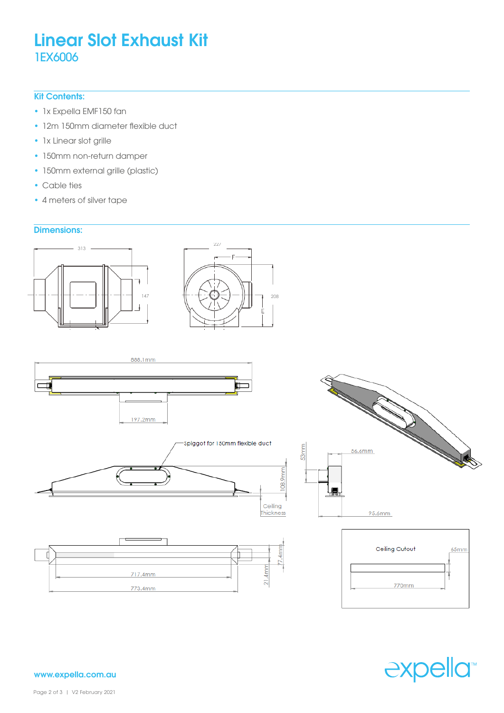## Linear Slot Exhaust Kit 1EX6006

#### Kit Contents:

- 1x Expella EMF150 fan
- 12m 150mm diameter flexible duct
- 1x Linear slot grille
- 150mm non-return damper
- 150mm external grille (plastic)
- **Cable ties** 
	- 4 meters of silver tape

#### Dimensions:















www.expella.com.au